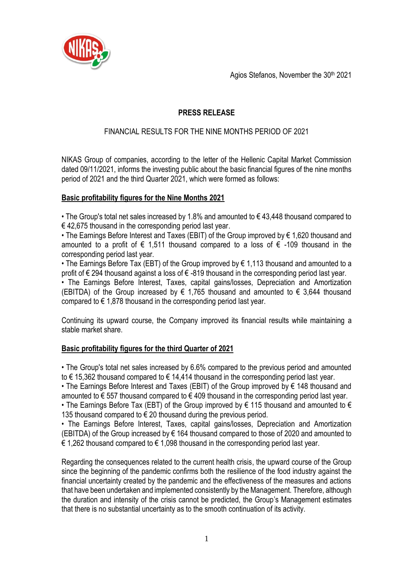Agios Stefanos, November the 30<sup>th</sup> 2021



# **PRESS RELEASE**

## FINANCIAL RESULTS FOR THE NINE MONTHS PERIOD OF 2021

NIKAS Group of companies, according to the letter of the Hellenic Capital Market Commission dated 09/11/2021, informs the investing public about the basic financial figures of the nine months period of 2021 and the third Quarter 2021, which were formed as follows:

### **Basic profitability figures for the Nine Months 2021**

• The Group's total net sales increased by 1.8% and amounted to  $\epsilon$  43,448 thousand compared to  $\epsilon$  42,675 thousand in the corresponding period last year.

• The Earnings Before Interest and Taxes (EBIT) of the Group improved by € 1,620 thousand and amounted to a profit of  $\epsilon$  1,511 thousand compared to a loss of  $\epsilon$  -109 thousand in the corresponding period last year.

• The Earnings Before Tax (EBT) of the Group improved by  $\epsilon$  1,113 thousand and amounted to a profit of €294 thousand against a loss of €-819 thousand in the corresponding period last year.

• The Earnings Before Interest, Taxes, capital gains/losses, Depreciation and Amortization (EBITDA) of the Group increased by  $\epsilon$  1,765 thousand and amounted to  $\epsilon$  3,644 thousand compared to  $\epsilon$  1,878 thousand in the corresponding period last year.

Continuing its upward course, the Company improved its financial results while maintaining a stable market share.

### **Basic profitability figures for the third Quarter of 2021**

• The Group's total net sales increased by 6.6% compared to the previous period and amounted to € 15,362 thousand compared to € 14,414 thousand in the corresponding period last year.

• The Earnings Before Interest and Taxes (EBIT) of the Group improved by € 148 thousand and amounted to  $\epsilon$  557 thousand compared to  $\epsilon$  409 thousand in the corresponding period last year.

• The Earnings Before Tax (EBT) of the Group improved by  $\epsilon$  115 thousand and amounted to  $\epsilon$ 135 thousand compared to  $\epsilon$  20 thousand during the previous period.

• The Earnings Before Interest, Taxes, capital gains/losses, Depreciation and Amortization (EBITDA) of the Group increased by € 164 thousand compared to those of 2020 and amounted to € 1,262 thousand compared to € 1,098 thousand in the corresponding period last year.

Regarding the consequences related to the current health crisis, the upward course of the Group since the beginning of the pandemic confirms both the resilience of the food industry against the financial uncertainty created by the pandemic and the effectiveness of the measures and actions that have been undertaken and implemented consistently by the Management. Therefore, although the duration and intensity of the crisis cannot be predicted, the Group's Management estimates that there is no substantial uncertainty as to the smooth continuation of its activity.